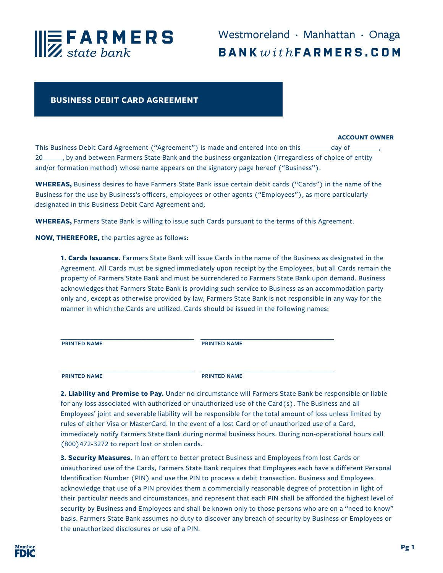

## **BUSINESS DEBIT CARD AGREEMENT**

## **ACCOUNT OWNER**

This Business Debit Card Agreement ("Agreement") is made and entered into on this \_\_\_\_\_\_\_\_ day of \_\_ 20\_\_\_\_\_\_, by and between Farmers State Bank and the business organization (irregardless of choice of entity and/or formation method) whose name appears on the signatory page hereof ("Business").

**WHEREAS,** Business desires to have Farmers State Bank issue certain debit cards ("Cards") in the name of the Business for the use by Business's officers, employees or other agents ("Employees"), as more particularly designated in this Business Debit Card Agreement and;

**WHEREAS,** Farmers State Bank is willing to issue such Cards pursuant to the terms of this Agreement.

**NOW, THEREFORE,** the parties agree as follows:

**1. Cards Issuance.** Farmers State Bank will issue Cards in the name of the Business as designated in the Agreement. All Cards must be signed immediately upon receipt by the Employees, but all Cards remain the property of Farmers State Bank and must be surrendered to Farmers State Bank upon demand. Business acknowledges that Farmers State Bank is providing such service to Business as an accommodation party only and, except as otherwise provided by law, Farmers State Bank is not responsible in any way for the manner in which the Cards are utilized. Cards should be issued in the following names:

| <b>PRINTED NAME</b> | <b>PRINTED NAME</b> |  |
|---------------------|---------------------|--|
|                     |                     |  |
|                     |                     |  |
|                     |                     |  |
| <b>PRINTED NAME</b> | <b>PRINTED NAME</b> |  |

**2. Liability and Promise to Pay.** Under no circumstance will Farmers State Bank be responsible or liable for any loss associated with authorized or unauthorized use of the Card(s). The Business and all Employees' joint and severable liability will be responsible for the total amount of loss unless limited by rules of either Visa or MasterCard. In the event of a lost Card or of unauthorized use of a Card, immediately notify Farmers State Bank during normal business hours. During non-operational hours call (800)472-3272 to report lost or stolen cards.

**3. Security Measures.** In an effort to better protect Business and Employees from lost Cards or unauthorized use of the Cards, Farmers State Bank requires that Employees each have a different Personal Identification Number (PIN) and use the PIN to process a debit transaction. Business and Employees acknowledge that use of a PIN provides them a commercially reasonable degree of protection in light of their particular needs and circumstances, and represent that each PIN shall be afforded the highest level of security by Business and Employees and shall be known only to those persons who are on a "need to know" basis. Farmers State Bank assumes no duty to discover any breach of security by Business or Employees or the unauthorized disclosures or use of a PIN.

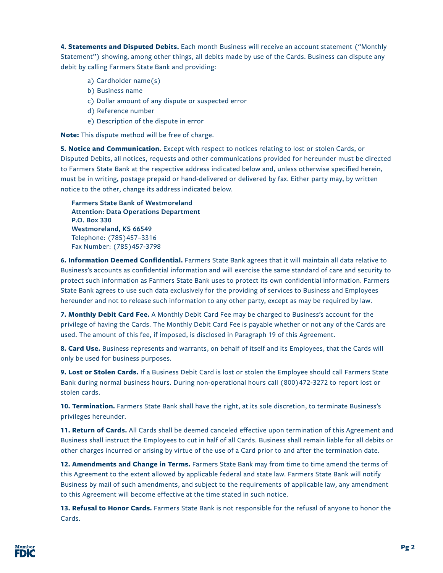**4. Statements and Disputed Debits.** Each month Business will receive an account statement ("Monthly Statement") showing, among other things, all debits made by use of the Cards. Business can dispute any debit by calling Farmers State Bank and providing:

- a) Cardholder name(s)
- b) Business name
- c) Dollar amount of any dispute or suspected error
- d) Reference number
- e) Description of the dispute in error

**Note:** This dispute method will be free of charge.

**5. Notice and Communication.** Except with respect to notices relating to lost or stolen Cards, or Disputed Debits, all notices, requests and other communications provided for hereunder must be directed to Farmers State Bank at the respective address indicated below and, unless otherwise specified herein, must be in writing, postage prepaid or hand-delivered or delivered by fax. Either party may, by written notice to the other, change its address indicated below.

**Farmers State Bank of Westmoreland Attention: Data Operations Department P.O. Box 330 Westmoreland, KS 66549** Telephone: (785)457–3316 Fax Number: (785)457-3798

**6. Information Deemed Confidential.** Farmers State Bank agrees that it will maintain all data relative to Business's accounts as confidential information and will exercise the same standard of care and security to protect such information as Farmers State Bank uses to protect its own confidential information. Farmers State Bank agrees to use such data exclusively for the providing of services to Business and Employees hereunder and not to release such information to any other party, except as may be required by law.

**7. Monthly Debit Card Fee.** A Monthly Debit Card Fee may be charged to Business's account for the privilege of having the Cards. The Monthly Debit Card Fee is payable whether or not any of the Cards are used. The amount of this fee, if imposed, is disclosed in Paragraph 19 of this Agreement.

**8. Card Use.** Business represents and warrants, on behalf of itself and its Employees, that the Cards will only be used for business purposes.

**9. Lost or Stolen Cards.** If a Business Debit Card is lost or stolen the Employee should call Farmers State Bank during normal business hours. During non-operational hours call (800)472-3272 to report lost or stolen cards.

**10. Termination.** Farmers State Bank shall have the right, at its sole discretion, to terminate Business's privileges hereunder.

**11. Return of Cards.** All Cards shall be deemed canceled effective upon termination of this Agreement and Business shall instruct the Employees to cut in half of all Cards. Business shall remain liable for all debits or other charges incurred or arising by virtue of the use of a Card prior to and after the termination date.

**12. Amendments and Change in Terms.** Farmers State Bank may from time to time amend the terms of this Agreement to the extent allowed by applicable federal and state law. Farmers State Bank will notify Business by mail of such amendments, and subject to the requirements of applicable law, any amendment to this Agreement will become effective at the time stated in such notice.

**13. Refusal to Honor Cards.** Farmers State Bank is not responsible for the refusal of anyone to honor the Cards.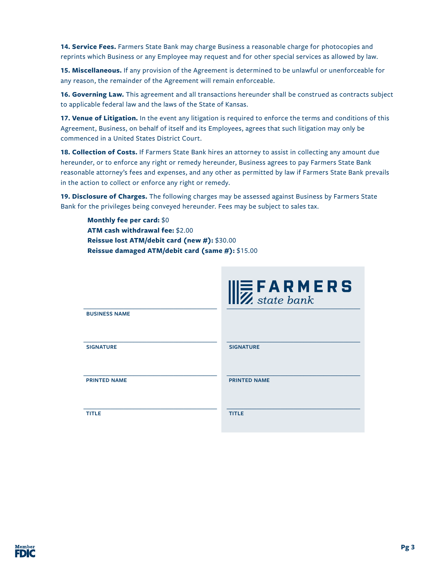**14. Service Fees.** Farmers State Bank may charge Business a reasonable charge for photocopies and reprints which Business or any Employee may request and for other special services as allowed by law.

**15. Miscellaneous.** If any provision of the Agreement is determined to be unlawful or unenforceable for any reason, the remainder of the Agreement will remain enforceable.

**16. Governing Law.** This agreement and all transactions hereunder shall be construed as contracts subject to applicable federal law and the laws of the State of Kansas.

**17. Venue of Litigation.** In the event any litigation is required to enforce the terms and conditions of this Agreement, Business, on behalf of itself and its Employees, agrees that such litigation may only be commenced in a United States District Court.

**18. Collection of Costs.** If Farmers State Bank hires an attorney to assist in collecting any amount due hereunder, or to enforce any right or remedy hereunder, Business agrees to pay Farmers State Bank reasonable attorney's fees and expenses, and any other as permitted by law if Farmers State Bank prevails in the action to collect or enforce any right or remedy.

**19. Disclosure of Charges.** The following charges may be assessed against Business by Farmers State Bank for the privileges being conveyed hereunder. Fees may be subject to sales tax.

 **Monthly fee per card:** \$0 **ATM cash withdrawal fee:** \$2.00 **Reissue lost ATM/debit card (new #):** \$30.00 **Reissue damaged ATM/debit card (same #):** \$15.00

|                      | $\parallel$ $\mathbf{E}$ <b>F A R M E R S</b> |
|----------------------|-----------------------------------------------|
| <b>BUSINESS NAME</b> |                                               |
| <b>SIGNATURE</b>     | <b>SIGNATURE</b>                              |
| <b>PRINTED NAME</b>  | <b>PRINTED NAME</b>                           |
| <b>TITLE</b>         | <b>TITLE</b>                                  |